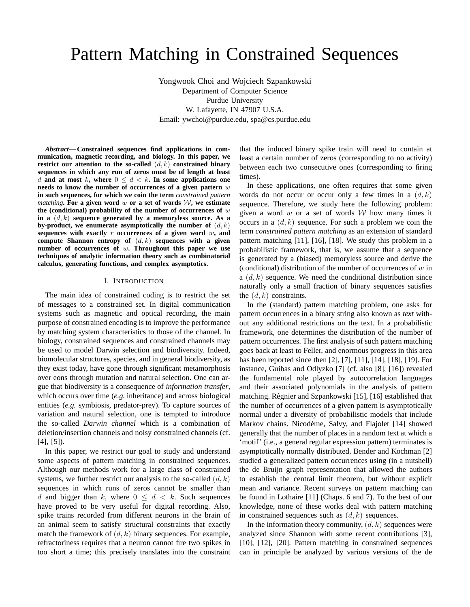# Pattern Matching in Constrained Sequences

Yongwook Choi and Wojciech Szpankowski Department of Computer Science Purdue University W. Lafayette, IN 47907 U.S.A. Email: ywchoi@purdue.edu, spa@cs.purdue.edu

*Abstract***— Constrained sequences find applications in communication, magnetic recording, and biology. In this paper, we restrict our attention to the so-called**  $(d, k)$  **constrained binary sequences in which any run of zeros must be of length at least** d and at most k, where  $0 \leq d \leq k$ . In some applications one **needs to know the number of occurrences of a given pattern** w **in such sequences, for which we coin the term** *constrained pattern matching***. For a given word** w or a set of words  $W$ , we estimate **the (conditional) probability of the number of occurrences of** w **in a** (d, k) **sequence generated by a memoryless source. As a** by-product, we enumerate asymptotically the number of  $(d, k)$ **sequences with exactly** r **occurrences of a given word** w**, and compute Shannon entropy of** (d, k) **sequences with a given number of occurrences of** w**. Throughout this paper we use techniques of analytic information theory such as combinatorial calculus, generating functions, and complex asymptotics.**

#### I. INTRODUCTION

The main idea of constrained coding is to restrict the set of messages to a constrained set. In digital communication systems such as magnetic and optical recording, the main purpose of constrained encoding is to improve the performance by matching system characteristics to those of the channel. In biology, constrained sequences and constrained channels may be used to model Darwin selection and biodiversity. Indeed, biomolecular structures, species, and in general biodiversity, as they exist today, have gone through significant metamorphosis over eons through mutation and natural selection. One can argue that biodiversity is a consequence of *information transfer*, which occurs over time (*e.g.* inheritance) and across biological entities (*e.g.* symbiosis, predator-prey). To capture sources of variation and natural selection, one is tempted to introduce the so-called *Darwin channel* which is a combination of deletion/insertion channels and noisy constrained channels (cf. [4], [5]).

In this paper, we restrict our goal to study and understand some aspects of pattern matching in constrained sequences. Although our methods work for a large class of constrained systems, we further restrict our analysis to the so-called  $(d, k)$ sequences in which runs of zeros cannot be smaller than d and bigger than k, where  $0 \leq d \leq k$ . Such sequences have proved to be very useful for digital recording. Also, spike trains recorded from different neurons in the brain of an animal seem to satisfy structural constraints that exactly match the framework of  $(d, k)$  binary sequences. For example, refractoriness requires that a neuron cannot fire two spikes in too short a time; this precisely translates into the constraint that the induced binary spike train will need to contain at least a certain number of zeros (corresponding to no activity) between each two consecutive ones (corresponding to firing times).

In these applications, one often requires that some given words do not occur or occur only a few times in a  $(d, k)$ sequence. Therefore, we study here the following problem: given a word  $w$  or a set of words  $W$  how many times it occurs in a  $(d, k)$  sequence. For such a problem we coin the term *constrained pattern matching* as an extension of standard pattern matching [11], [16], [18]. We study this problem in a probabilistic framework, that is, we assume that a sequence is generated by a (biased) memoryless source and derive the (conditional) distribution of the number of occurrences of  $w$  in a  $(d, k)$  sequence. We need the conditional distribution since naturally only a small fraction of binary sequences satisfies the  $(d, k)$  constraints.

In the (standard) pattern matching problem, one asks for pattern occurrences in a binary string also known as *text* without any additional restrictions on the text. In a probabilistic framework, one determines the distribution of the number of pattern occurrences. The first analysis of such pattern matching goes back at least to Feller, and enormous progress in this area has been reported since then [2], [7], [11], [14], [18], [19]. For instance, Guibas and Odlyzko [7] (cf. also [8], [16]) revealed the fundamental role played by autocorrelation languages and their associated polynomials in the analysis of pattern matching. Régnier and Szpankowski [15], [16] established that the number of occurrences of a given pattern is asymptotically normal under a diversity of probabilistic models that include Markov chains. Nicodème, Salvy, and Flajolet [14] showed generally that the number of places in a random text at which a 'motif' (i.e., a general regular expression pattern) terminates is asymptotically normally distributed. Bender and Kochman [2] studied a generalized pattern occurrences using (in a nutshell) the de Bruijn graph representation that allowed the authors to establish the central limit theorem, but without explicit mean and variance. Recent surveys on pattern matching can be found in Lothaire [11] (Chaps. 6 and 7). To the best of our knowledge, none of these works deal with pattern matching in constrained sequences such as  $(d, k)$  sequences.

In the information theory community,  $(d, k)$  sequences were analyzed since Shannon with some recent contributions [3], [10], [12], [20]. Pattern matching in constrained sequences can in principle be analyzed by various versions of the de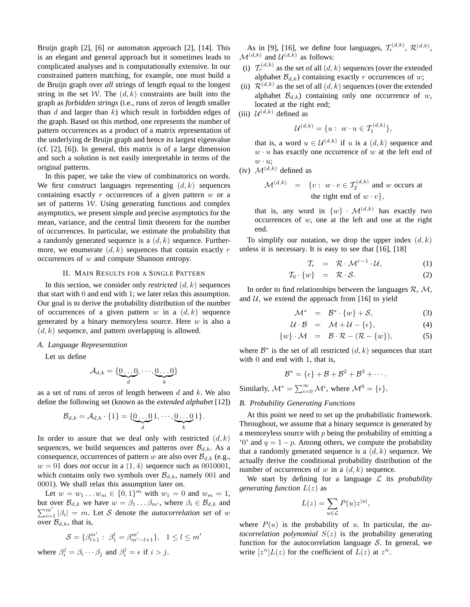Bruijn graph [2], [6] or automaton approach [2], [14]. This is an elegant and general approach but it sometimes leads to complicated analyses and is computationally extensive. In our constrained pattern matching, for example, one must build a de Bruijn graph over *all* strings of length equal to the longest string in the set W. The  $(d, k)$  constraints are built into the graph as *forbidden strings* (i.e., runs of zeros of length smaller than  $d$  and larger than  $k$ ) which result in forbidden edges of the graph. Based on this method, one represents the number of pattern occurrences as a product of a matrix representation of the underlying de Bruijn graph and hence its largest eigenvalue (cf. [2], [6]). In general, this matrix is of a large dimension and such a solution is not easily interpretable in terms of the original patterns.

In this paper, we take the view of combinatorics on words. We first construct languages representing  $(d, k)$  sequences containing exactly  $r$  occurrences of a given pattern  $w$  or a set of patterns  $W$ . Using generating functions and complex asymptotics, we present simple and precise asymptotics for the mean, variance, and the central limit theorem for the number of occurrences. In particular, we estimate the probability that a randomly generated sequence is a  $(d, k)$  sequence. Furthermore, we enumerate  $(d, k)$  sequences that contain exactly r occurrences of w and compute Shannon entropy.

## II. MAIN RESULTS FOR A SINGLE PATTERN

In this section, we consider only *restricted*  $(d, k)$  sequences that start with 0 and end with 1; we later relax this assumption. Our goal is to derive the probability distribution of the number of occurrences of a given pattern w in a  $(d, k)$  sequence generated by a binary memoryless source. Here  $w$  is also a  $(d, k)$  sequence, and pattern overlapping is allowed.

# *A. Language Representation*

Let us define

$$
\mathcal{A}_{d,k} = \{ \underbrace{0 \dots 0}_{d}, \cdots, \underbrace{0 \dots 0}_{k} \}
$$

as a set of runs of zeros of length between  $d$  and  $k$ . We also define the following set (known as the *extended alphabet* [12])

$$
\mathcal{B}_{d,k} = \mathcal{A}_{d,k} \cdot \{1\} = \{\underbrace{0 \dots 0}_{d} 1, \cdots, \underbrace{0 \dots 0}_{k} 1\}.
$$

In order to assure that we deal only with restricted  $(d, k)$ sequences, we build sequences and patterns over  $\mathcal{B}_{d,k}$ . As a consequence, occurrences of pattern w are also over  $\mathcal{B}_{d,k}$  (e.g.,  $w = 01$  does *not* occur in a  $(1, 4)$  sequence such as 0010001, which contains only two symbols over  $\mathcal{B}_{d,k}$ , namely 001 and 0001). We shall relax this assumption later on.

Let  $w = w_1 \dots w_m \in \{0, 1\}^m$  with  $w_1 = 0$  and  $w_m = 1$ , but over  $\mathcal{B}_{d,k}$  we have  $w = \beta_1 \dots \beta_{m'}$ , where  $\beta_i \in \mathcal{B}_{d,k}$  and  $\sum_{i=1}^{m'} |\beta_i| = m$ . Let S denote the *autocorrelation set* of w over  $\mathcal{B}_{d,k}$ , that is,

$$
\mathcal{S} = \{ \beta_{l+1}^{m'} : \ \beta_1^l = \beta_{m'-l+1}^{m'} \}, \ \ 1 \le l \le m'
$$

where  $\beta_i^j = \beta_i \cdots \beta_j$  and  $\beta_i^j = \epsilon$  if  $i > j$ .

As in [9], [16], we define four languages,  $\mathcal{T}_r^{(d,k)}$ ,  $\mathcal{R}^{(d,k)}$ ,  $\mathcal{M}^{(d,k)}$  and  $\mathcal{U}^{(d,k)}$  as follows:

- (i)  $\mathcal{T}_r^{(d,k)}$  as the set of all  $(d, k)$  sequences (over the extended alphabet  $\mathcal{B}_{d,k}$ ) containing exactly r occurrences of w;
- (ii)  $\mathcal{R}^{(d,k)}$  as the set of all  $(d, k)$  sequences (over the extended alphabet  $\mathcal{B}_{d,k}$ ) containing only one occurrence of w, located at the right end;
- (iii)  $\mathcal{U}^{(d,k)}$  defined as

$$
\mathcal{U}^{(d,k)} = \{u : w \cdot u \in \mathcal{T}_1^{(d,k)}\},\
$$

that is, a word  $u \in \mathcal{U}^{(d,k)}$  if u is a  $(d,k)$  sequence and  $w \cdot u$  has exactly one occurrence of w at the left end of  $w \cdot u$ ;

(iv)  $\mathcal{M}^{(d,k)}$  defined as

$$
\mathcal{M}^{(d,k)} = \{v : w \cdot v \in T_2^{(d,k)} \text{ and } w \text{ occurs at} \\ \text{the right end of } w \cdot v \},
$$

that is, any word in  $\{w\}$  ·  $\mathcal{M}^{(d,k)}$  has exactly two occurrences of  $w$ , one at the left and one at the right end.

To simplify our notation, we drop the upper index  $(d, k)$ unless it is necessary. It is easy to see that [16], [18]

$$
\mathcal{T}_r = \mathcal{R} \cdot \mathcal{M}^{r-1} \cdot \mathcal{U}, \tag{1}
$$

$$
\mathcal{T}_0 \cdot \{w\} = \mathcal{R} \cdot \mathcal{S}.
$$
 (2)

In order to find relationships between the languages  $\mathcal{R}, \mathcal{M},$ and  $U$ , we extend the approach from [16] to yield

$$
\mathcal{M}^* = \mathcal{B}^* \cdot \{w\} + \mathcal{S}, \tag{3}
$$

$$
\mathcal{U} \cdot \mathcal{B} = \mathcal{M} + \mathcal{U} - \{\epsilon\}, \tag{4}
$$

$$
\{w\} \cdot \mathcal{M} = \mathcal{B} \cdot \mathcal{R} - (\mathcal{R} - \{w\}), \tag{5}
$$

where  $\mathcal{B}^*$  is the set of all restricted  $(d, k)$  sequences that start with 0 and end with 1, that is,

$$
\mathcal{B}^* = \{\epsilon\} + \mathcal{B} + \mathcal{B}^2 + \mathcal{B}^3 + \cdots.
$$

Similarly,  $\mathcal{M}^* = \sum_{i=0}^{\infty} \mathcal{M}^i$ , where  $\mathcal{M}^0 = {\epsilon}.$ 

## *B. Probability Generating Functions*

At this point we need to set up the probabilistic framework. Throughout, we assume that a binary sequence is generated by a memoryless source with  $p$  being the probability of emitting a '0' and  $q = 1 - p$ . Among others, we compute the probability that a randomly generated sequence is a  $(d, k)$  sequence. We actually derive the conditional probability distribution of the number of occurrences of w in a  $(d, k)$  sequence.

We start by defining for a language L its *probability generating function* L(z) as

$$
L(z) = \sum_{u \in \mathcal{L}} P(u) z^{|u|},
$$

where  $P(u)$  is the probability of u. In particular, the *autocorrelation polynomial*  $S(z)$  is the probability generating function for the autocorrelation language  $S$ . In general, we write  $[z^n]L(z)$  for the coefficient of  $L(z)$  at  $z^n$ .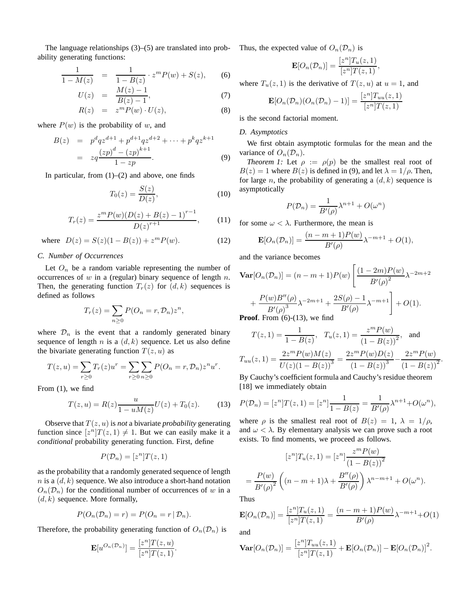The language relationships (3)–(5) are translated into probability generating functions:

$$
\frac{1}{1 - M(z)} = \frac{1}{1 - B(z)} \cdot z^m P(w) + S(z), \qquad (6)
$$

$$
U(z) = \frac{M(z) - 1}{B(z) - 1},
$$
\n(7)

$$
R(z) = zm P(w) \cdot U(z), \qquad (8)
$$

where  $P(w)$  is the probability of w, and

$$
B(z) = p^d q z^{d+1} + p^{d+1} q z^{d+2} + \dots + p^k q z^{k+1}
$$
  
=  $zq \frac{(zp)^d - (zp)^{k+1}}{1 - zp}$ . (9)

In particular, from  $(1)$ – $(2)$  and above, one finds

$$
T_0(z) = \frac{S(z)}{D(z)},\tag{10}
$$

$$
T_r(z) = \frac{z^m P(w)(D(z) + B(z) - 1)^{r-1}}{D(z)^{r+1}},
$$
 (11)

where  $D(z) = S(z)(1 - B(z)) + z^m P(w)$ . (12)

# *C. Number of Occurrences*

Let  $O_n$  be a random variable representing the number of occurrences of  $w$  in a (regular) binary sequence of length  $n$ . Then, the generating function  $T_r(z)$  for  $(d, k)$  sequences is defined as follows

$$
T_r(z) = \sum_{n\geq 0} P(O_n = r, \mathcal{D}_n) z^n,
$$

where  $\mathcal{D}_n$  is the event that a randomly generated binary sequence of length n is a  $(d, k)$  sequence. Let us also define the bivariate generating function  $T(z, u)$  as

$$
T(z, u) = \sum_{r \ge 0} T_r(z)u^r = \sum_{r \ge 0} \sum_{n \ge 0} P(O_n = r, \mathcal{D}_n)z^n u^r.
$$

From (1), we find

$$
T(z, u) = R(z) \frac{u}{1 - uM(z)} U(z) + T_0(z).
$$
 (13)

Observe that  $T(z, u)$  is *not* a bivariate *probability* generating function since  $[z^n]T(z,1) \neq 1$ . But we can easily make it a *conditional* probability generating function. First, define

$$
P(\mathcal{D}_n) = [z^n]T(z, 1)
$$

as the probability that a randomly generated sequence of length  $n$  is a  $(d, k)$  sequence. We also introduce a short-hand notation  $O_n(\mathcal{D}_n)$  for the conditional number of occurrences of w in a  $(d, k)$  sequence. More formally,

$$
P(O_n(\mathcal{D}_n) = r) = P(O_n = r | \mathcal{D}_n).
$$

Therefore, the probability generating function of  $O_n(\mathcal{D}_n)$  is

$$
\mathbf{E}[u^{O_n(\mathcal{D}_n)}] = \frac{[z^n]T(z, u)}{[z^n]T(z, 1)}.
$$

Thus, the expected value of  $O_n(\mathcal{D}_n)$  is

$$
\mathbf{E}[O_n(\mathcal{D}_n)] = \frac{[z^n]T_u(z,1)}{[z^n]T(z,1)},
$$

where  $T_u(z, 1)$  is the derivative of  $T(z, u)$  at  $u = 1$ , and

$$
\mathbf{E}[O_n(\mathcal{D}_n)(O_n(\mathcal{D}_n)-1)] = \frac{[z^n]T_{uu}(z,1)}{[z^n]T(z,1)}
$$

is the second factorial moment.

## *D. Asymptotics*

We first obtain asymptotic formulas for the mean and the variance of  $O_n(\mathcal{D}_n)$ .

*Theorem 1:* Let  $\rho := \rho(p)$  be the smallest real root of  $B(z) = 1$  where  $B(z)$  is defined in (9), and let  $\lambda = 1/\rho$ . Then, for large *n*, the probability of generating a  $(d, k)$  sequence is asymptotically

$$
P(\mathcal{D}_n) = \frac{1}{B'(\rho)} \lambda^{n+1} + O(\omega^n)
$$

for some  $\omega < \lambda$ . Furthermore, the mean is

$$
\mathbf{E}[O_n(\mathcal{D}_n)] = \frac{(n-m+1)P(w)}{B'(\rho)}\lambda^{-m+1} + O(1),
$$

and the variance becomes

$$
\begin{aligned} \mathbf{Var}[O_n(\mathcal{D}_n)] &= (n - m + 1)P(w) \left[ \frac{(1 - 2m)P(w)}{B'(\rho)^2} \lambda^{-2m + 2} + \frac{P(w)B''(\rho)}{B'(\rho)^3} \lambda^{-2m + 1} + \frac{2S(\rho) - 1}{B'(\rho)} \lambda^{-m + 1} \right] + O(1). \end{aligned}
$$
\nProof. From (6)-(13), we find

$$
T(z, 1) = \frac{1}{1 - B(z)}, \quad T_u(z, 1) = \frac{z^m P(w)}{(1 - B(z))^2}, \quad \text{and}
$$

$$
T_{uu}(z, 1) = \frac{2z^m P(w)M(z)}{U(z)(1 - B(z))^3} = \frac{2z^m P(w)D(z)}{(1 - B(z))^3} - \frac{2z^m P(w)}{(1 - B(z))^2}
$$

 $m \neq \ell$ 

.

By Cauchy's coefficient formula and Cauchy's residue theorem [18] we immediately obtain

$$
P(\mathcal{D}_n) = [z^n]T(z, 1) = [z^n] \frac{1}{1 - B(z)} = \frac{1}{B'(\rho)} \lambda^{n+1} + O(\omega^n),
$$

where  $\rho$  is the smallest real root of  $B(z) = 1$ ,  $\lambda = 1/\rho$ , and  $\omega < \lambda$ . By elementary analysis we can prove such a root exists. To find moments, we proceed as follows.

$$
[z^n]T_u(z,1) = [z^n] \frac{z^m P(w)}{(1 - B(z))^2}
$$

$$
= \frac{P(w)}{B'(\rho)^2} \left( (n - m + 1)\lambda + \frac{B''(\rho)}{B'(\rho)} \right) \lambda^{n - m + 1} + O(\omega^n).
$$

Thus

$$
\mathbf{E}[O_n(\mathcal{D}_n)] = \frac{[z^n]T_u(z,1)}{[z^n]T(z,1)} = \frac{(n-m+1)P(w)}{B'(\rho)}\lambda^{-m+1} + O(1)
$$

and

$$
\mathbf{Var}[O_n(\mathcal{D}_n)] = \frac{[z^n]T_{uu}(z,1)}{[z^n]T(z,1)} + \mathbf{E}[O_n(\mathcal{D}_n)] - \mathbf{E}[O_n(\mathcal{D}_n)]^2.
$$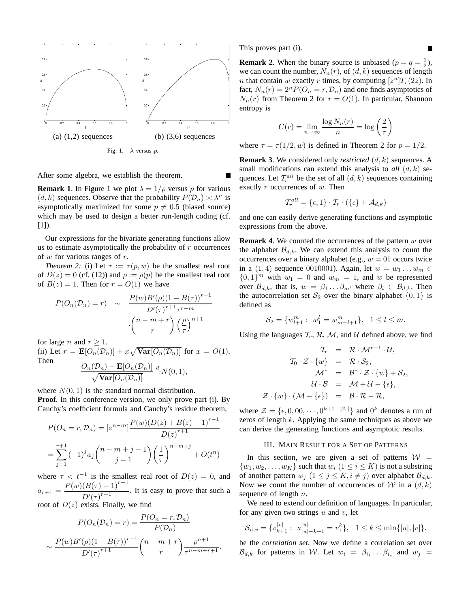

After some algebra, we establish the theorem.

**Remark 1.** In Figure 1 we plot  $\lambda = 1/\rho$  versus p for various  $(d, k)$  sequences. Observe that the probability  $P(\mathcal{D}_n) \asymp \lambda^n$  is asymptotically maximized for some  $p \neq 0.5$  (biased source) which may be used to design a better run-length coding (cf. [1]).

Our expressions for the bivariate generating functions allow us to estimate asymptotically the probability of  $r$  occurrences of  $w$  for various ranges of  $r$ .

*Theorem 2:* (i) Let  $\tau := \tau(p, w)$  be the smallest real root of  $D(z) = 0$  (cf. (12)) and  $\rho := \rho(p)$  be the smallest real root of  $B(z) = 1$ . Then for  $r = O(1)$  we have

$$
P(O_n(\mathcal{D}_n) = r) \sim \frac{P(w)B'(\rho)(1 - B(\tau))^{r-1}}{D'(\tau)^{r+1}\tau^{r-m}}
$$

$$
\cdot \binom{n - m + r}{r} \left(\frac{\rho}{\tau}\right)^{n+1}
$$

for large *n* and  $r \geq 1$ .

(ii) Let  $r = \mathbf{E}[O_n(\mathcal{D}_n)] + x\sqrt{\text{Var}[O_n(\mathcal{D}_n)]}$  for  $x = O(1)$ . Then  $O_n(\mathcal{D}_n) - \mathbf{E}[O_n(\mathcal{D}_n)]$ 

$$
\frac{O_n(D_n) - \mathbf{E}[O_n(D_n)]}{\sqrt{\mathbf{Var}[O_n(D_n)]}} \stackrel{d}{\to} N(0, 1),
$$

where  $N(0, 1)$  is the standard normal distribution. **Proof**. In this conference version, we only prove part (i). By Cauchy's coefficient formula and Cauchy's residue theorem,

$$
P(O_n = r, \mathcal{D}_n) = [z^{n-m}] \frac{P(w)(D(z) + B(z) - 1)^{r-1}}{D(z)^{r+1}}
$$
  
= 
$$
\sum_{j=1}^{r+1} (-1)^j a_j {n-m+j \choose j-1} \left(\frac{1}{\tau}\right)^{n-m+j} + O(t^n)
$$

where  $\tau < t^{-1}$  is the smallest real root of  $D(z) = 0$ , and  $a_{r+1} = \frac{P(w)(B(\tau) - 1)^{r-1}}{P(x+r+1)}$  $\frac{D'(r)}{D'(r)^{r+1}}$ . It is easy to prove that such a root of  $D(z)$  exists. Finally, we find

$$
P(O_n(\mathcal{D}_n) = r) = \frac{P(O_n = r, \mathcal{D}_n)}{P(\mathcal{D}_n)}
$$

$$
\sim \frac{P(w)B'(\rho)(1 - B(\tau))^{r-1}}{D'(\tau)^{r+1}} \binom{n - m + r}{r} \frac{\rho^{n+1}}{\tau^{n-m+r+1}}.
$$

This proves part (i).

**Remark 2.** When the binary source is unbiased  $(p = q = \frac{1}{2})$ , we can count the number,  $N_n(r)$ , of  $(d, k)$  sequences of length *n* that contain *w* exactly *r* times, by computing  $[z^n]T_r(2z)$ . In fact,  $N_n(r) = 2^n P(O_n = r, \mathcal{D}_n)$  and one finds asymptotics of  $N_n(r)$  from Theorem 2 for  $r = O(1)$ . In particular, Shannon entropy is

$$
C(r) = \lim_{n \to \infty} \frac{\log N_n(r)}{n} = \log \left(\frac{2}{\tau}\right)
$$

where  $\tau = \tau(1/2, w)$  is defined in Theorem 2 for  $p = 1/2$ .

**Remark 3**. We considered only *restricted* (d, k) sequences. A small modifications can extend this analysis to  $all (d, k)$  sequences. Let  $\mathcal{T}_r^{all}$  be the set of all  $(d, k)$  sequences containing exactly r occurrences of w. Then

$$
\mathcal{T}_r^{all} = \{\epsilon, 1\} \cdot \mathcal{T}_r \cdot (\{\epsilon\} + \mathcal{A}_{d,k})
$$

and one can easily derive generating functions and asymptotic expressions from the above.

**Remark 4.** We counted the occurrences of the pattern w over the alphabet  $\mathcal{B}_{d,k}$ . We can extend this analysis to count the occurrences over a binary alphabet (e.g.,  $w = 01$  occurs twice in a  $(1, 4)$  sequence 0010001). Again, let  $w = w_1 \dots w_m \in$  ${0, 1}^m$  with  $w_1 = 0$  and  $w_m = 1$ , and w be represented over  $\mathcal{B}_{d,k}$ , that is,  $w = \beta_1 \dots \beta_{m'}$  where  $\beta_i \in \mathcal{B}_{d,k}$ . Then the autocorrelation set  $S_2$  over the binary alphabet  $\{0, 1\}$  is defined as

$$
S_2 = \{w_{l+1}^m : w_1^l = w_{m-l+1}^m\}, \quad 1 \le l \le m.
$$

Using the languages  $T_r$ , R, M, and U defined above, we find

$$
T_r = \mathcal{R} \cdot \mathcal{M}^{r-1} \cdot \mathcal{U},
$$
  
\n
$$
T_0 \cdot \mathcal{Z} \cdot \{w\} = \mathcal{R} \cdot \mathcal{S}_2,
$$
  
\n
$$
\mathcal{M}^* = \mathcal{B}^* \cdot \mathcal{Z} \cdot \{w\} + \mathcal{S}_2,
$$
  
\n
$$
\mathcal{U} \cdot \mathcal{B} = \mathcal{M} + \mathcal{U} - \{\epsilon\},
$$
  
\n
$$
\mathcal{Z} \cdot \{w\} \cdot (\mathcal{M} - \{\epsilon\}) = \mathcal{B} \cdot \mathcal{R} - \mathcal{R},
$$

where  $\mathcal{Z} = \{\epsilon, 0, 00, \cdots, 0^{k+1-|\beta_1|}\}\$  and  $0^k$  denotes a run of zeros of length  $k$ . Applying the same techniques as above we can derive the generating functions and asymptotic results.

## III. MAIN RESULT FOR A SET OF PATTERNS

In this section, we are given a set of patterns  $W =$  $\{w_1, w_2, \ldots, w_K\}$  such that  $w_i$   $(1 \le i \le K)$  is not a substring of another pattern  $w_j$   $(1 \le j \le K, i \ne j)$  over alphabet  $\mathcal{B}_{d,k}$ . Now we count the number of occurrences of W in a  $(d, k)$ sequence of length *n*.

We need to extend our definition of languages. In particular, for any given two strings  $u$  and  $v$ , let

$$
\mathcal{S}_{u,v} = \{v_{k+1}^{|v|} : u_{|u|-k+1}^{|u|} = v_1^k\}, \quad 1 \le k \le \min\{|u|, |v|\}.
$$

be the *correlation set*. Now we define a correlation set over  $\mathcal{B}_{d,k}$  for patterns in W. Let  $w_i = \beta_{i_1} \dots \beta_{i_s}$  and  $w_j =$